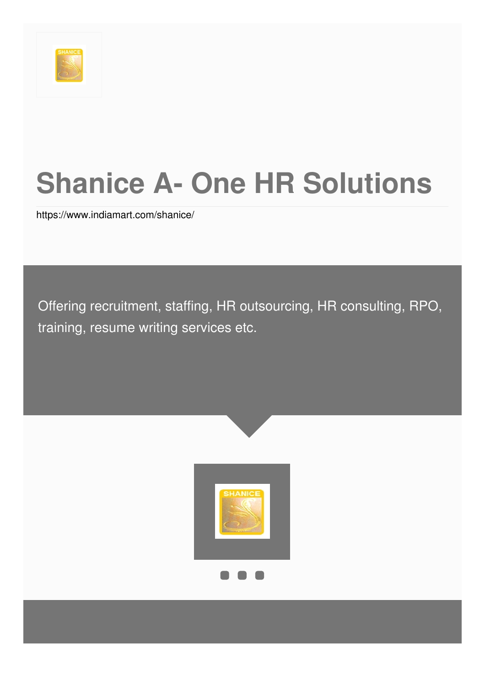

# **Shanice A- One HR Solutions**

<https://www.indiamart.com/shanice/>

Offering recruitment, staffing, HR outsourcing, HR consulting, RPO, training, resume writing services etc.

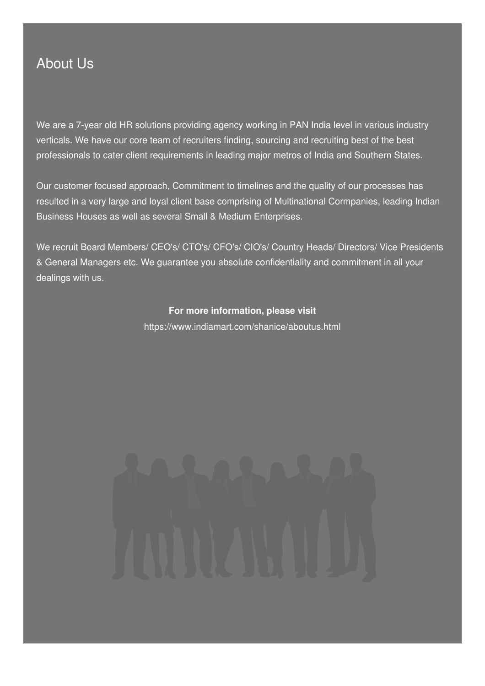### About Us

We are a 7-year old HR solutions providing agency working in PAN India level in various industry verticals. We have our core team of recruiters finding, sourcing and recruiting best of the best professionals to cater client requirements in leading major metros of India and Southern States.

Our customer focused approach, Commitment to timelines and the quality of our processes has resulted in a very large and loyal client base comprising of Multinational Cormpanies, leading Indian Business Houses as well as several Small & Medium Enterprises.

We recruit Board Members/ CEO's/ CTO's/ CFO's/ CIO's/ Country Heads/ Directors/ Vice Presidents & General Managers etc. We guarantee you absolute confidentiality and commitment in all your dealings with us.

### **For more information, please visit**

<https://www.indiamart.com/shanice/aboutus.html>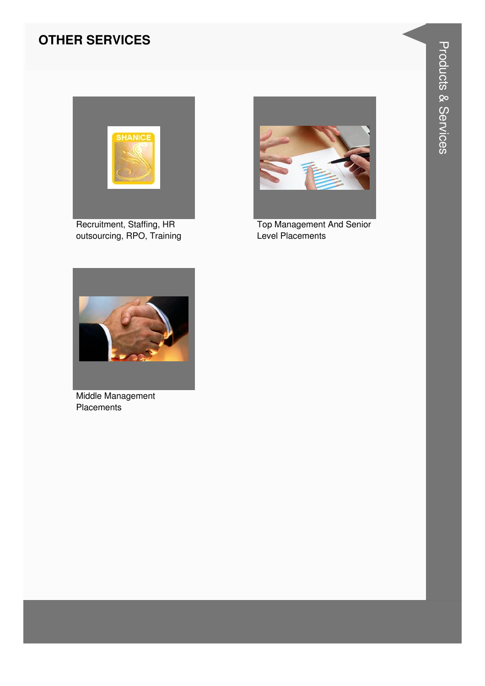### **OTHER SERVICES**



Recruitment, Staffing, HR outsourcing, RPO, Training



**Top Management And Senior** Level Placements



Middle Management Placements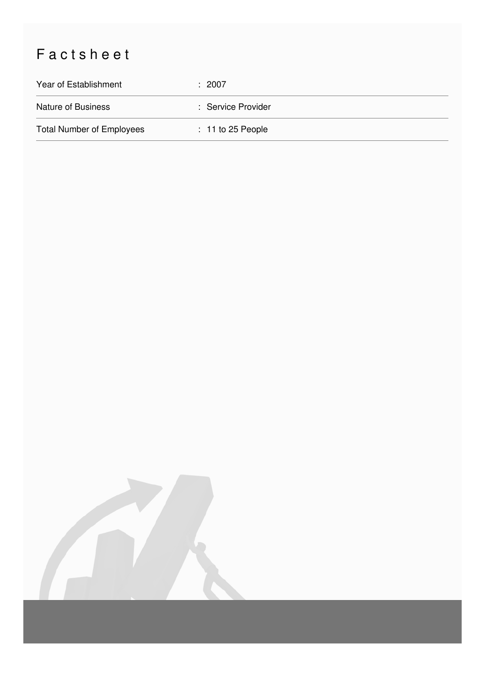## Factsheet

| Year of Establishment            | : 2007              |
|----------------------------------|---------------------|
| Nature of Business               | : Service Provider  |
| <b>Total Number of Employees</b> | $: 11$ to 25 People |